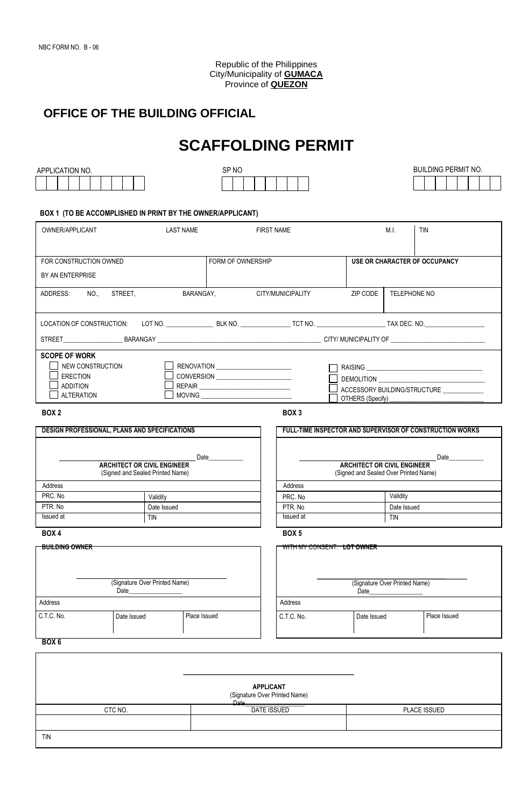Republic of the Philippines City/Municipality of **GUMACA** Province of **QUEZON**

# **OFFICE OF THE BUILDING OFFICIAL**

# **SCAFFOLDING PERMIT**

| APPLICATION NO. | SP <sub>NO</sub> | <b>BUILDING PERMIT NO.</b> |
|-----------------|------------------|----------------------------|
|                 |                  |                            |
|                 |                  |                            |

### **BOX 1 (TO BE ACCOMPLISHED IN PRINT BY THE OWNER/APPLICANT)**

| OWNER/APPLICANT                                                                              | LAST NAME | <b>FIRST NAME</b>                                                                                                                                                                                                                                                                                                                                                  | M.I.     | <b>TIN</b>                                 |
|----------------------------------------------------------------------------------------------|-----------|--------------------------------------------------------------------------------------------------------------------------------------------------------------------------------------------------------------------------------------------------------------------------------------------------------------------------------------------------------------------|----------|--------------------------------------------|
|                                                                                              |           |                                                                                                                                                                                                                                                                                                                                                                    |          |                                            |
| FOR CONSTRUCTION OWNED                                                                       |           | FORM OF OWNERSHIP                                                                                                                                                                                                                                                                                                                                                  |          | USE OR CHARACTER OF OCCUPANCY              |
| BY AN ENTERPRISE                                                                             |           |                                                                                                                                                                                                                                                                                                                                                                    |          |                                            |
| NO., STREET,<br>ADDRESS:                                                                     |           | BARANGAY, <b>Example 2</b><br>CITY/MUNICIPALITY                                                                                                                                                                                                                                                                                                                    | ZIP CODE | TELEPHONE NO                               |
|                                                                                              |           |                                                                                                                                                                                                                                                                                                                                                                    |          |                                            |
|                                                                                              |           |                                                                                                                                                                                                                                                                                                                                                                    |          |                                            |
|                                                                                              |           | STREET BARANGAY BARANGAY SERVER AND THE STREET STREET STREET AND BARANGAY SERVER AND STREET STREET AND STREET STREET AND STREET AND STREET AND STREET AND STREET AND STREET AND STREET AND STREET AND STREET AND STREET AND ST                                                                                                                                     |          |                                            |
| <b>SCOPE OF WORK</b><br>NEW CONSTRUCTION<br>ERECTION<br><b>ADDITION</b><br><b>ALTERATION</b> |           | $\begin{picture}(180,10) \put(0,0){\vector(1,0){100}} \put(15,0){\vector(1,0){100}} \put(15,0){\vector(1,0){100}} \put(15,0){\vector(1,0){100}} \put(15,0){\vector(1,0){100}} \put(15,0){\vector(1,0){100}} \put(15,0){\vector(1,0){100}} \put(15,0){\vector(1,0){100}} \put(15,0){\vector(1,0){100}} \put(15,0){\vector(1,0){100}} \put(15,0){\vector(1,0){100}}$ |          | DEMOLITION<br>ACCESSORY BUILDING/STRUCTURE |

#### **BOX 2**

| <b>DESIGN PROFESSIONAL, PLANS AND SPECIFICATIONS</b> |                                                                                | <b>FULL-TI</b> |
|------------------------------------------------------|--------------------------------------------------------------------------------|----------------|
|                                                      | Date<br><b>ARCHITECT OR CIVIL ENGINEER</b><br>(Signed and Sealed Printed Name) |                |
| Address                                              |                                                                                | Address        |
| PRC. No                                              | Validity                                                                       | PRC. No        |
| PTR. No                                              | Date Issued                                                                    | PTR. No        |
| Issued at                                            | <b>TIN</b>                                                                     | Issued a       |

| <b>DUILDING QUALED</b><br><del>BUILDING OWNER</del> |                                       |              |            | $11 \text{ m}$ $11 \text{ m}$ $22 \text{ m}$<br><u> WITH MY CONSENT. LOT OWNER</u> |
|-----------------------------------------------------|---------------------------------------|--------------|------------|------------------------------------------------------------------------------------|
|                                                     | (Signature Over Printed Name)<br>Date |              |            | (Signature<br>Date                                                                 |
| Address                                             |                                       |              | Address    |                                                                                    |
| C.T.C. No.<br>-----                                 | Date Issued                           | Place Issued | C.T.C. No. | Date Iss                                                                           |

# **BOX 3**

| FULL TIME INSPECTOR AND SUPERVISOR OF CONSTRUCTION WORKS |                                                                             |
|----------------------------------------------------------|-----------------------------------------------------------------------------|
|                                                          | Date                                                                        |
|                                                          | <b>ARCHITECT OR CIVIL ENGINEER</b><br>(Signed and Sealed Over Printed Name) |
| Address                                                  |                                                                             |
| PRC. No                                                  | Validity                                                                    |
| PTR. No                                                  | Date Issued                                                                 |
| Issued at                                                | <b>TIN</b>                                                                  |

#### **BOX 4 BOX 5**

| 1172212717<br><u>WITH MY CONSENT. LOT OWNER</u> |                                       |              |
|-------------------------------------------------|---------------------------------------|--------------|
|                                                 | (Signature Over Printed Name)<br>Date |              |
| Address                                         |                                       |              |
| C.T.C. No.                                      | Date Issued                           | Place Issued |

**BOX 6**

|            | <b>APPLICANT</b><br>(Signature Over Printed Name) |              |
|------------|---------------------------------------------------|--------------|
| CTC NO.    | Date<br><b>DATE ISSUED</b>                        | PLACE ISSUED |
|            |                                                   |              |
| <b>TIN</b> |                                                   |              |